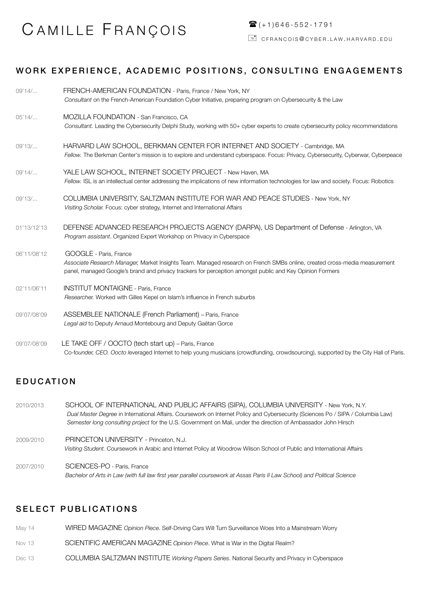# CAMILLE FRANÇOIS

# WORK EXPERIENCE, ACADEMIC POSITIONS, CONSULTING ENGAGEMENTS

| 09'14/      | FRENCH-AMERICAN FOUNDATION - Paris, France / New York, NY                                                                                                                                                                             |
|-------------|---------------------------------------------------------------------------------------------------------------------------------------------------------------------------------------------------------------------------------------|
|             | Consultant on the French-American Foundation Cyber Initiative, preparing program on Cybersecurity & the Law                                                                                                                           |
| 05'14/      | MOZILLA FOUNDATION - San Francisco, CA                                                                                                                                                                                                |
|             | Consultant. Leading the Cybersecurity Delphi Study, working with 50+ cyber experts to create cybersecurity policy recommendations                                                                                                     |
| 09'13/      | HARVARD LAW SCHOOL, BERKMAN CENTER FOR INTERNET AND SOCIETY - Cambridge, MA                                                                                                                                                           |
|             | Fellow. The Berkman Center's mission is to explore and understand cyberspace. Focus: Privacy, Cybersecurity, Cyberwar, Cyberpeace                                                                                                     |
| 09'14/      | YALE LAW SCHOOL, INTERNET SOCIETY PROJECT - New Haven, MA                                                                                                                                                                             |
|             | Fellow. ISL is an intellectual center addressing the implications of new information technologies for law and society. Focus: Robotics                                                                                                |
| 09'13/      | COLUMBIA UNIVERSITY, SALTZMAN INSTITUTE FOR WAR AND PEACE STUDIES - New York, NY                                                                                                                                                      |
|             | Visiting Scholar. Focus: cyber strategy, Internet and International Affairs                                                                                                                                                           |
| 01'13/12'13 | DEFENSE ADVANCED RESEARCH PROJECTS AGENCY (DARPA), US Department of Defense - Arlington, VA                                                                                                                                           |
|             | Program assistant. Organized Expert Workshop on Privacy in Cyberspace                                                                                                                                                                 |
| 06'11/08'12 | GOOGLE - Paris, France                                                                                                                                                                                                                |
|             | Associate Research Manager, Market Insights Team. Managed research on French SMBs online, created cross-media measurement<br>panel, managed Google's brand and privacy trackers for perception amongst public and Key Opinion Formers |
| 02'11/06'11 | <b>INSTITUT MONTAIGNE - Paris, France</b>                                                                                                                                                                                             |
|             | Researcher. Worked with Gilles Kepel on Islam's influence in French suburbs                                                                                                                                                           |
| 09'07/08'09 | ASSEMBLEE NATIONALE (French Parliament) - Paris, France                                                                                                                                                                               |
|             | Legal aid to Deputy Arnaud Montebourg and Deputy Gaëtan Gorce                                                                                                                                                                         |
| 09'07/08'09 | LE TAKE OFF / OOCTO (tech start up) - Paris, France                                                                                                                                                                                   |
|             | Co-founder, CEO. Oocto leveraged Internet to help young musicians (crowdfunding, crowdsourcing), supported by the City Hall of Paris.                                                                                                 |

## EDUCATION

| 2010/2013 | SCHOOL OF INTERNATIONAL AND PUBLIC AFFAIRS (SIPA), COLUMBIA UNIVERSITY - New York, N.Y.<br>Dual Master Degree in International Affairs. Coursework on Internet Policy and Cybersecurity (Sciences Po / SIPA / Columbia Law)<br>Semester long consulting project for the U.S. Government on Mali, under the direction of Ambassador John Hirsch |  |  |  |  |  |  |  |
|-----------|------------------------------------------------------------------------------------------------------------------------------------------------------------------------------------------------------------------------------------------------------------------------------------------------------------------------------------------------|--|--|--|--|--|--|--|
| 2009/2010 | <b>PRINCETON UNIVERSITY - Princeton, N.J.</b><br>Visiting Student. Coursework in Arabic and Internet Policy at Woodrow Wilson School of Public and International Affairs                                                                                                                                                                       |  |  |  |  |  |  |  |
| 2007/2010 | SCIENCES-PO - Paris, France                                                                                                                                                                                                                                                                                                                    |  |  |  |  |  |  |  |

#### *Bachelor of Arts in Law (with full law first year parallel coursework at Assas Paris II Law School) and Political Science*

### SELECT PUBLICATIONS

| May 14 | WIRED MAGAZINE Opinion Piece. Self-Driving Cars Will Turn Surveillance Woes Into a Mainstream Worry |
|--------|-----------------------------------------------------------------------------------------------------|
| Nov 13 | SCIENTIFIC AMERICAN MAGAZINE Opinion Piece. What is War in the Digital Realm?                       |
| Dec 13 | COLUMBIA SALTZMAN INSTITUTE Working Papers Series. National Security and Privacy in Cyberspace      |